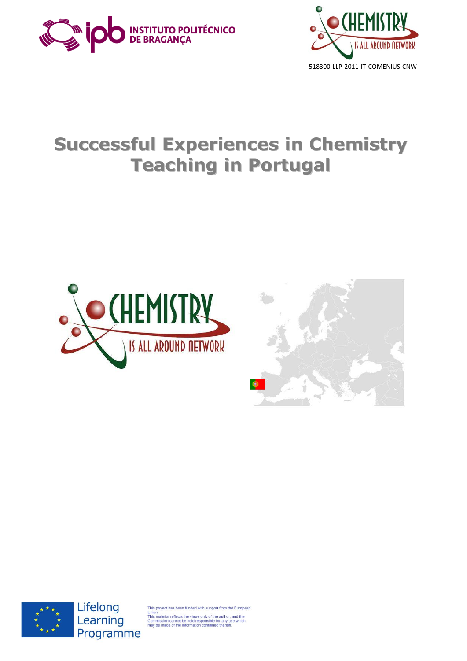



# **Successful Experiences in Chemistry Teaching in Portugal**







Lifelong Learning Programme

oject has been funded with support from the Europear

union.<br>This material reflects the views only of the author, and the<br>Commission cannot be held responsible for any use which<br>may be made of the information contained therein.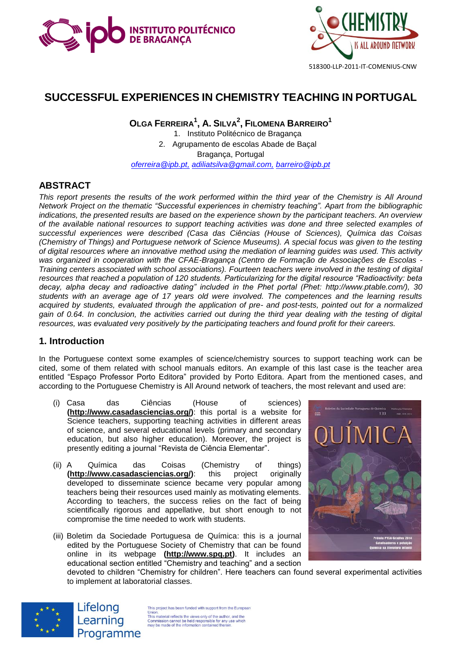



## **SUCCESSFUL EXPERIENCES IN CHEMISTRY TEACHING IN PORTUGAL**

**OLGA FERREIRA<sup>1</sup> , A. SILVA<sup>2</sup> , FILOMENA BARREIRO<sup>1</sup>** 1. Instituto Politécnico de Bragança 2. Agrupamento de escolas Abade de Baçal Bragança, Portugal *[oferreira@ipb.pt,](mailto:oferreira@ipb.pt) adiliatsilva@gmail.com, barreiro@ipb.pt*

## **ABSTRACT**

*This report presents the results of the work performed within the third year of the Chemistry is All Around Network Project on the thematic "Successful experiences in chemistry teaching". Apart from the bibliographic indications, the presented results are based on the experience shown by the participant teachers. An overview of the available national resources to support teaching activities was done and three selected examples of successful experiences were described (Casa das Ciências (House of Sciences), Química das Coisas (Chemistry of Things) and Portuguese network of Science Museums). A special focus was given to the testing of digital resources where an innovative method using the mediation of learning guides was used. This activity was organized in cooperation with the CFAE-Bragança (Centro de Formação de Associações de Escolas - Training centers associated with school associations). Fourteen teachers were involved in the testing of digital resources that reached a population of 120 students. Particularizing for the digital resource "Radioactivity: beta decay, alpha decay and radioactive dating" included in the Phet portal (Phet: [http://www.ptable.com/\)](http://www.ptable.com/), 30 students with an average age of 17 years old were involved. The competences and the learning results acquired by students, evaluated through the application of pre- and post-tests, pointed out for a normalized gain of 0.64. In conclusion, the activities carried out during the third year dealing with the testing of digital resources, was evaluated very positively by the participating teachers and found profit for their careers.*

#### **1. Introduction**

In the Portuguese context some examples of science/chemistry sources to support teaching work can be cited, some of them related with school manuals editors. An example of this last case is the teacher area entitled "Espaço Professor Porto Editora" provided by Porto Editora. Apart from the mentioned cases, and according to the Portuguese Chemistry is All Around network of teachers, the most relevant and used are:

- (i) Casa das Ciências (House of sciences) **[\(http://www.casadasciencias.org/\)](http://www.casadasciencias.org/)**: this portal is a website for Science teachers, supporting teaching activities in different areas of science, and several educational levels (primary and secondary education, but also higher education). Moreover, the project is presently editing a journal "Revista de Ciência Elementar".
- (ii) A Química das Coisas (Chemistry of things) **[\(http://www.casadasciencias.org/\)](http://www.casadasciencias.org/)**: this project originally developed to disseminate science became very popular among teachers being their resources used mainly as motivating elements. According to teachers, the success relies on the fact of being scientifically rigorous and appellative, but short enough to not compromise the time needed to work with students.
- (iii) Boletim da Sociedade Portuguesa de Química: this is a journal edited by the Portuguese Society of Chemistry that can be found online in its webpage **[\(http://www.spq.pt\)](http://www.spq.pt/)**. It includes an educational section entitled "Chemistry and teaching" and a section



devoted to children "Chemistry for children". Here teachers can found several experimental activities to implement at laboratorial classes.



Lifelong Learning Programme

This project has been funded with support from the Europear Union.<br>This material reflects the views only of the author, and the<br>Commission cannot be held responsible for any use which<br>may be made of the information contained therein.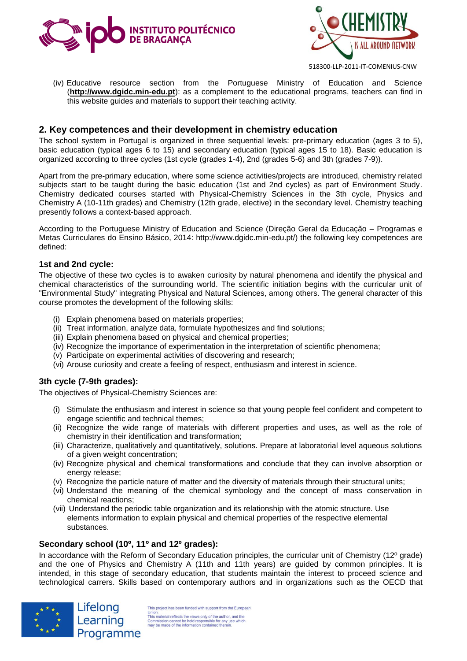



- 518300-LLP-2011-IT-COMENIUS-CNW
- (iv) Educative resource section from the Portuguese Ministry of Education and Science (**http://www.dgidc.min-edu.pt**): as a complement to the educational programs, teachers can find in this website guides and materials to support their teaching activity.

## **2. Key competences and their development in chemistry education**

The school system in Portugal is organized in three sequential levels: pre-primary education (ages 3 to 5), basic education (typical ages 6 to 15) and secondary education (typical ages 15 to 18). Basic education is organized according to three cycles (1st cycle (grades 1-4), 2nd (grades 5-6) and 3th (grades 7-9)).

Apart from the pre-primary education, where some science activities/projects are introduced, chemistry related subjects start to be taught during the basic education (1st and 2nd cycles) as part of Environment Study. Chemistry dedicated courses started with Physical-Chemistry Sciences in the 3th cycle, Physics and Chemistry A (10-11th grades) and Chemistry (12th grade, elective) in the secondary level. Chemistry teaching presently follows a context-based approach.

According to the Portuguese Ministry of Education and Science (Direção Geral da Educação – Programas e Metas Curriculares do Ensino Básico, 2014: http://www.dgidc.min-edu.pt/) the following key competences are defined:

#### **1st and 2nd cycle:**

The objective of these two cycles is to awaken curiosity by natural phenomena and identify the physical and chemical characteristics of the surrounding world. The scientific initiation begins with the curricular unit of "Environmental Study" integrating Physical and Natural Sciences, among others. The general character of this course promotes the development of the following skills:

- (i) Explain phenomena based on materials properties;
- (ii) Treat information, analyze data, formulate hypothesizes and find solutions;
- (iii) Explain phenomena based on physical and chemical properties;
- (iv) Recognize the importance of experimentation in the interpretation of scientific phenomena;
- (v) Participate on experimental activities of discovering and research;
- (vi) Arouse curiosity and create a feeling of respect, enthusiasm and interest in science.

#### **3th cycle (7-9th grades):**

The objectives of Physical-Chemistry Sciences are:

- (i) Stimulate the enthusiasm and interest in science so that young people feel confident and competent to engage scientific and technical themes;
- (ii) Recognize the wide range of materials with different properties and uses, as well as the role of chemistry in their identification and transformation;
- (iii) Characterize, qualitatively and quantitatively, solutions. Prepare at laboratorial level aqueous solutions of a given weight concentration;
- (iv) Recognize physical and chemical transformations and conclude that they can involve absorption or energy release;
- (v) Recognize the particle nature of matter and the diversity of materials through their structural units;
- (vi) Understand the meaning of the chemical symbology and the concept of mass conservation in chemical reactions;
- (vii) Understand the periodic table organization and its relationship with the atomic structure. Use elements information to explain physical and chemical properties of the respective elemental substances.

#### **Secondary school (10º, 11º and 12º grades):**

Lifelong

Learning

Programme

In accordance with the Reform of Secondary Education principles, the curricular unit of Chemistry (12º grade) and the one of Physics and Chemistry A (11th and 11th years) are guided by common principles. It is intended, in this stage of secondary education, that students maintain the interest to proceed science and technological carrers. Skills based on contemporary authors and in organizations such as the OECD that



This project has been funded with support from the European This project nas been tunded with support from the Europe<br>This material reflects the views only of the author, and the<br>Commission cannot be held responsible for any use which<br>may be made of the information contained therei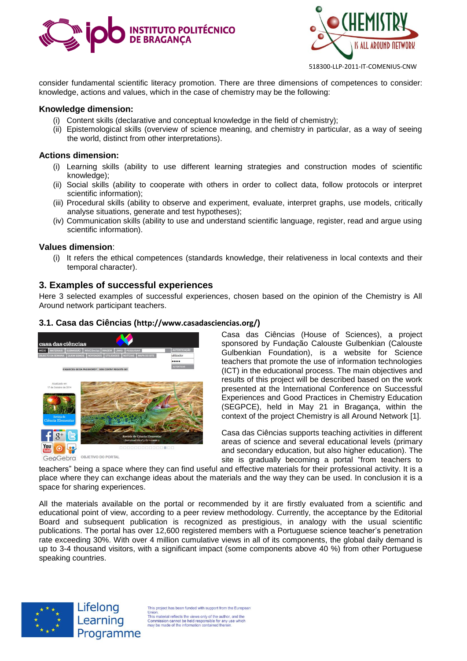



consider fundamental scientific literacy promotion. There are three dimensions of competences to consider: knowledge, actions and values, which in the case of chemistry may be the following:

#### **Knowledge dimension:**

- (i) Content skills (declarative and conceptual knowledge in the field of chemistry);
- (ii) Epistemological skills (overview of science meaning, and chemistry in particular, as a way of seeing the world, distinct from other interpretations).

#### **Actions dimension:**

- (i) Learning skills (ability to use different learning strategies and construction modes of scientific knowledge);
- (ii) Social skills (ability to cooperate with others in order to collect data, follow protocols or interpret scientific information);
- (iii) Procedural skills (ability to observe and experiment, evaluate, interpret graphs, use models, critically analyse situations, generate and test hypotheses);
- (iv) Communication skills (ability to use and understand scientific language, register, read and argue using scientific information).

#### **Values dimension**:

(i) It refers the ethical competences (standards knowledge, their relativeness in local contexts and their temporal character).

#### **3. Examples of successful experiences**

Here 3 selected examples of successful experiences, chosen based on the opinion of the Chemistry is All Around network participant teachers.

#### **3.1. Casa das Ciências (<http://www.casadasciencias.org/>)**



Casa das Ciências (House of Sciences), a project sponsored by Fundação Calouste Gulbenkian (Calouste Gulbenkian Foundation), is a website for Science teachers that promote the use of information technologies (ICT) in the educational process. The main objectives and results of this project will be described based on the work presented at the International Conference on Successful Experiences and Good Practices in Chemistry Education (SEGPCE), held in May 21 in Bragança, within the context of the project Chemistry is all Around Network [1].

Casa das Ciências supports teaching activities in different areas of science and several educational levels (primary and secondary education, but also higher education). The site is gradually becoming a portal "from teachers to

teachers" being a space where they can find useful and effective materials for their professional activity. It is a place where they can exchange ideas about the materials and the way they can be used. In conclusion it is a space for sharing experiences.

All the materials available on the portal or recommended by it are firstly evaluated from a scientific and educational point of view, according to a peer review methodology. Currently, the acceptance by the Editorial Board and subsequent publication is recognized as prestigious, in analogy with the usual scientific publications. The portal has over 12,600 registered members with a Portuguese science teacher's penetration rate exceeding 30%. With over 4 million cumulative views in all of its components, the global daily demand is up to 3-4 thousand visitors, with a significant impact (some components above 40 %) from other Portuguese speaking countries.



Lifelong Learning Programme

This project has been funded with support from the Europear Union.<br>This material reflects the views only of the author, and the<br>Commission cannot be held responsible for any use which<br>may be made of the information contained therein.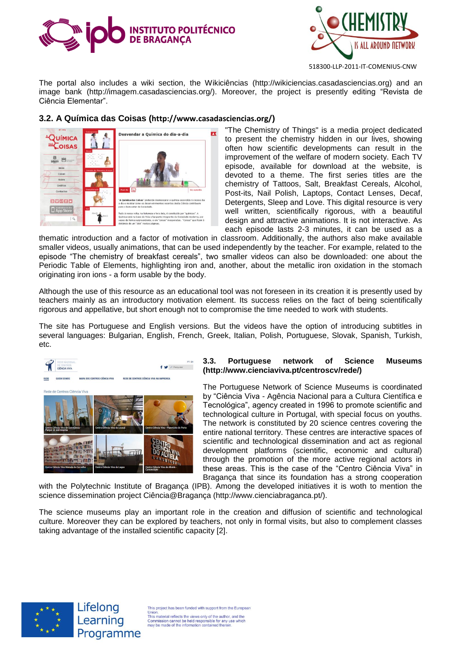



The portal also includes a wiki section, the Wikiciências (http://wikiciencias.casadasciencias.org) and an image bank (http://imagem.casadasciencias.org/). Moreover, the project is presently editing "Revista de Ciência Elementar".

## **3.2. A Química das Coisas (<http://www.casadasciencias.org/>)**



"The Chemistry of Things" is a media project dedicated to present the chemistry hidden in our lives, showing often how scientific developments can result in the improvement of the welfare of modern society. Each TV episode, available for download at the website, is devoted to a theme. The first series titles are the chemistry of Tattoos, Salt, Breakfast Cereals, Alcohol, Post-its, Nail Polish, Laptops, Contact Lenses, Decaf, Detergents, Sleep and Love. This digital resource is very well written, scientifically rigorous, with a beautiful design and attractive animations. It is not interactive. As each episode lasts 2-3 minutes, it can be used as a

thematic introduction and a factor of motivation in classroom. Additionally, the authors also make available smaller videos, usually animations, that can be used independently by the teacher. For example, related to the episode "The chemistry of breakfast cereals", two smaller videos can also be downloaded: one about the Periodic Table of Elements, highlighting iron and, another, about the metallic iron oxidation in the stomach originating iron ions - a form usable by the body.

Although the use of this resource as an educational tool was not foreseen in its creation it is presently used by teachers mainly as an introductory motivation element. Its success relies on the fact of being scientifically rigorous and appellative, but short enough not to compromise the time needed to work with students.

The site has Portuguese and English versions. But the videos have the option of introducing subtitles in several languages: Bulgarian, English, French, Greek, Italian, Polish, Portuguese, Slovak, Spanish, Turkish, etc.



#### **3.3. Portuguese network of Science Museums (http://www.cienciaviva.pt/centroscv/rede/)**

The Portuguese Network of Science Museums is coordinated by "Ciência Viva - Agência Nacional para a Cultura Científica e Tecnológica", agency created in 1996 to promote scientific and technological culture in Portugal, with special focus on youths. The network is constituted by 20 science centres covering the entire national territory. These centres are interactive spaces of scientific and technological dissemination and act as regional development platforms (scientific, economic and cultural) through the promotion of the more active regional actors in these areas. This is the case of the "Centro Ciência Viva" in Bragança that since its foundation has a strong cooperation

with the Polytechnic Institute of Bragança (IPB). Among the developed initiatives it is woth to mention the science dissemination project Ciência@Bragança (http://www.cienciabraganca.pt/).

The science museums play an important role in the creation and diffusion of scientific and technological culture. Moreover they can be explored by teachers, not only in formal visits, but also to complement classes taking advantage of the installed scientific capacity [2].





This project has been funded with support from the Europear onion.<br>This material reflects the views only of the author, and the<br>Commission cannot be held responsible for any use which<br>may be made of the information contained therein.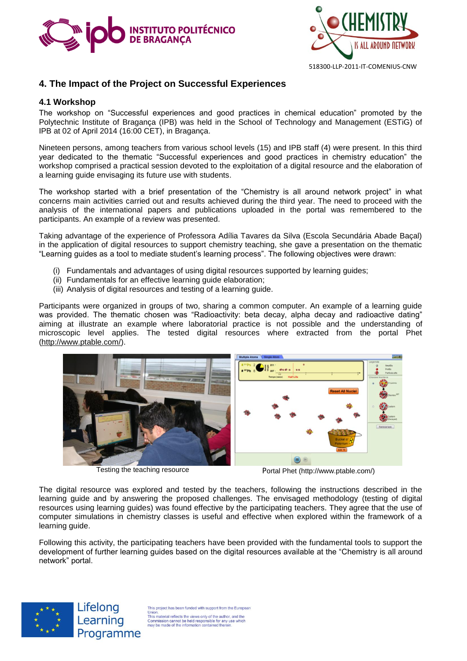



## **4. The Impact of the Project on Successful Experiences**

#### **4.1 Workshop**

The workshop on "Successful experiences and good practices in chemical education" promoted by the Polytechnic Institute of Bragança (IPB) was held in the School of Technology and Management (ESTiG) of IPB at 02 of April 2014 (16:00 CET), in Bragança.

Nineteen persons, among teachers from various school levels (15) and IPB staff (4) were present. In this third year dedicated to the thematic "Successful experiences and good practices in chemistry education" the workshop comprised a practical session devoted to the exploitation of a digital resource and the elaboration of a learning guide envisaging its future use with students.

The workshop started with a brief presentation of the "Chemistry is all around network project" in what concerns main activities carried out and results achieved during the third year. The need to proceed with the analysis of the international papers and publications uploaded in the portal was remembered to the participants. An example of a review was presented.

Taking advantage of the experience of Professora Adília Tavares da Silva (Escola Secundária Abade Baçal) in the application of digital resources to support chemistry teaching, she gave a presentation on the thematic "Learning guides as a tool to mediate student's learning process". The following objectives were drawn:

- (i) Fundamentals and advantages of using digital resources supported by learning guides;
- (ii) Fundamentals for an effective learning guide elaboration;
- (iii) Analysis of digital resources and testing of a learning guide.

Participants were organized in groups of two, sharing a common computer. An example of a learning guide was provided. The thematic chosen was "Radioactivity: beta decay, alpha decay and radioactive dating" aiming at illustrate an example where laboratorial practice is not possible and the understanding of microscopic level applies. The tested digital resources where extracted from the portal Phet [\(http://www.ptable.com/\)](http://www.ptable.com/).



Testing the teaching resource Portal Phet (http://www.ptable.com/)

The digital resource was explored and tested by the teachers, following the instructions described in the learning guide and by answering the proposed challenges. The envisaged methodology (testing of digital resources using learning guides) was found effective by the participating teachers. They agree that the use of computer simulations in chemistry classes is useful and effective when explored within the framework of a learning guide.

Following this activity, the participating teachers have been provided with the fundamental tools to support the development of further learning guides based on the digital resources available at the "Chemistry is all around network" portal.



Lifelong Learning Programme

This project has been funded with support from the Europear Union.<br>This material reflects the views only of the author, and the<br>Commission cannot be held responsible for any use which<br>may be made of the information contained therein.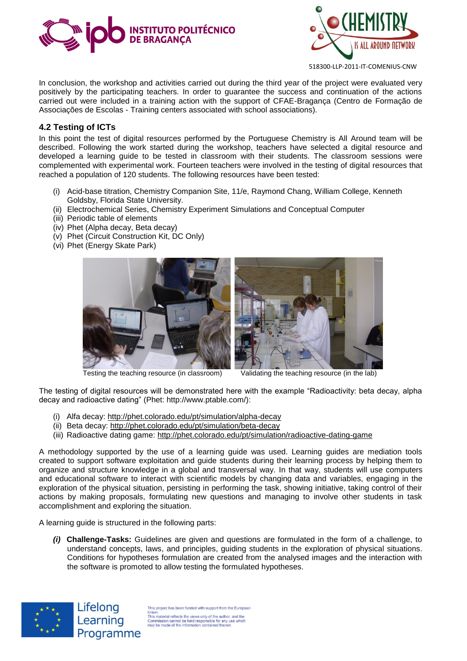



In conclusion, the workshop and activities carried out during the third year of the project were evaluated very positively by the participating teachers. In order to guarantee the success and continuation of the actions carried out were included in a training action with the support of CFAE-Bragança (Centro de Formação de Associações de Escolas - Training centers associated with school associations).

#### **4.2 Testing of ICTs**

In this point the test of digital resources performed by the Portuguese Chemistry is All Around team will be described. Following the work started during the workshop, teachers have selected a digital resource and developed a learning guide to be tested in classroom with their students. The classroom sessions were complemented with experimental work. Fourteen teachers were involved in the testing of digital resources that reached a population of 120 students. The following resources have been tested:

- (i) Acid-base titration, Chemistry Companion Site, 11/e, Raymond Chang, William College, Kenneth Goldsby, Florida State University.
- (ii) Electrochemical Series, Chemistry Experiment Simulations and Conceptual Computer
- (iii) Periodic table of elements
- (iv) Phet (Alpha decay, Beta decay)
- (v) Phet (Circuit Construction Kit, DC Only)
- (vi) Phet (Energy Skate Park)



Testing the teaching resource (in classroom) Validating the teaching resource (in the lab)



The testing of digital resources will be demonstrated here with the example "Radioactivity: beta decay, alpha decay and radioactive dating" (Phet: http://www.ptable.com/):

- (i) Alfa decay:<http://phet.colorado.edu/pt/simulation/alpha-decay>
- (ii) Beta decay:<http://phet.colorado.edu/pt/simulation/beta-decay>
- (iii) Radioactive dating game:<http://phet.colorado.edu/pt/simulation/radioactive-dating-game>

A methodology supported by the use of a learning guide was used. Learning guides are mediation tools created to support software exploitation and guide students during their learning process by helping them to organize and structure knowledge in a global and transversal way. In that way, students will use computers and educational software to interact with scientific models by changing data and variables, engaging in the exploration of the physical situation, persisting in performing the task, showing initiative, taking control of their actions by making proposals, formulating new questions and managing to involve other students in task accomplishment and exploring the situation.

A learning guide is structured in the following parts:

*(i)* **Challenge-Tasks:** Guidelines are given and questions are formulated in the form of a challenge, to understand concepts, laws, and principles, guiding students in the exploration of physical situations. Conditions for hypotheses formulation are created from the analysed images and the interaction with the software is promoted to allow testing the formulated hypotheses.



Lifelong Learning Programme

is project has been funded with support from the Europear Union.<br>This material reflects the views only of the author, and the<br>Commission cannot be held responsible for any use which<br>may be made of the information contained therein.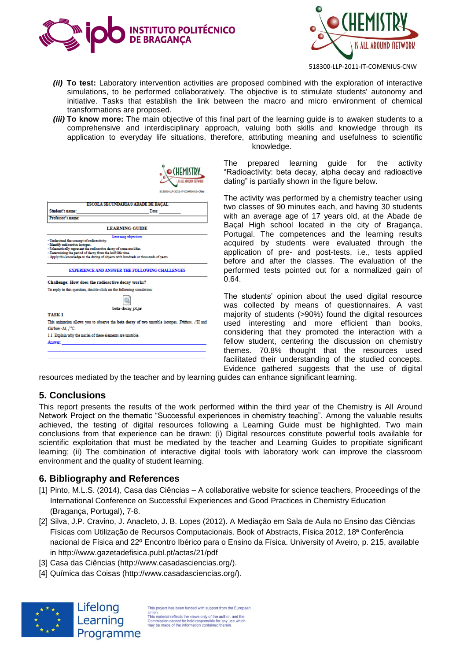



- *(ii)* **To test:** Laboratory intervention activities are proposed combined with the exploration of interactive simulations, to be performed collaboratively. The objective is to stimulate students' autonomy and initiative. Tasks that establish the link between the macro and micro environment of chemical transformations are proposed.
- *(iii)* **To know more:** The main objective of this final part of the learning guide is to awaken students to a comprehensive and interdisciplinary approach, valuing both skills and knowledge through its application to everyday life situations, therefore, attributing meaning and usefulness to scientific knowledge.

**ESCOLA SECUNDARIA/3 ABADE DE BACAL ChadamPrins** Date Professor's name **LEARNING GUIDE Serstand the concept of radioactivity**<br>stify radioactive isotopes.<br>ematically represent the radioactive aw consequent masses and the consequence of the consequence of the consequent the state of the consequence of the consequence of the consequence of the consequence of the consequence of the consequence of the consequence o Apply this kn EXPERIENCE AND ANSWER THE FOLLOWING CHALLENGES Challenge: How does the radioactive decay works? To reply to this question, double-click on the following simulation: Q, beta-decay pt.ja TASK<sub>1</sub> This animation allows you to observe the beta decay of two unstable isotopes, Tritium, <sup>3</sup>H and Carbon-14,  $^{14}$ C 1.1. Explain why the nuclei of these elements are unstable Answer

The prepared learning guide for the activity "Radioactivity: beta decay, alpha decay and radioactive dating" is partially shown in the figure below.

The activity was performed by a chemistry teacher using two classes of 90 minutes each, and having 30 students with an average age of 17 years old, at the Abade de Baçal High school located in the city of Bragança, Portugal. The competences and the learning results acquired by students were evaluated through the application of pre- and post-tests, i.e., tests applied before and after the classes. The evaluation of the performed tests pointed out for a normalized gain of 0.64.

The students' opinion about the used digital resource was collected by means of questionnaires. A vast majority of students (>90%) found the digital resources used interesting and more efficient than books, considering that they promoted the interaction with a fellow student, centering the discussion on chemistry themes. 70.8% thought that the resources used facilitated their understanding of the studied concepts. Evidence gathered suggests that the use of digital

resources mediated by the teacher and by learning guides can enhance significant learning.

**HEMISTRY** 

## **5. Conclusions**

This report presents the results of the work performed within the third year of the Chemistry is All Around Network Project on the thematic "Successful experiences in chemistry teaching". Among the valuable results achieved, the testing of digital resources following a Learning Guide must be highlighted. Two main conclusions from that experience can be drawn: (i) Digital resources constitute powerful tools available for scientific exploitation that must be mediated by the teacher and Learning Guides to propitiate significant learning; (ii) The combination of interactive digital tools with laboratory work can improve the classroom environment and the quality of student learning.

#### **6. Bibliography and References**

- [1] Pinto, M.L.S. (2014), Casa das Ciências A collaborative website for science teachers, Proceedings of the International Conference on Successful Experiences and Good Practices in Chemistry Education (Bragança, Portugal), 7-8.
- [2] Silva, J.P. Cravino, J. Anacleto, J. B. Lopes (2012). A Mediação em Sala de Aula no Ensino das Ciências Físicas com Utilização de Recursos Computacionais. Book of Abstracts, Física 2012, 18ª Conferência nacional de Física and 22º Encontro Ibérico para o Ensino da Física. University of Aveiro, p. 215, available in<http://www.gazetadefisica.publ.pt/actas/21/pdf>
- [3] Casa das Ciências [\(http://www.casadasciencias.org/\)](http://www.casadasciencias.org/).
- [4] Química das Coisas [\(http://www.casadasciencias.org/\)](http://www.casadasciencias.org/).



This project has been funded with support from the Europear This project has been tunded with support from the Europe<br>This material reflects the views only of the author, and the<br>Commission cannot be held responsible for any use which<br>may be made of the information contained therei